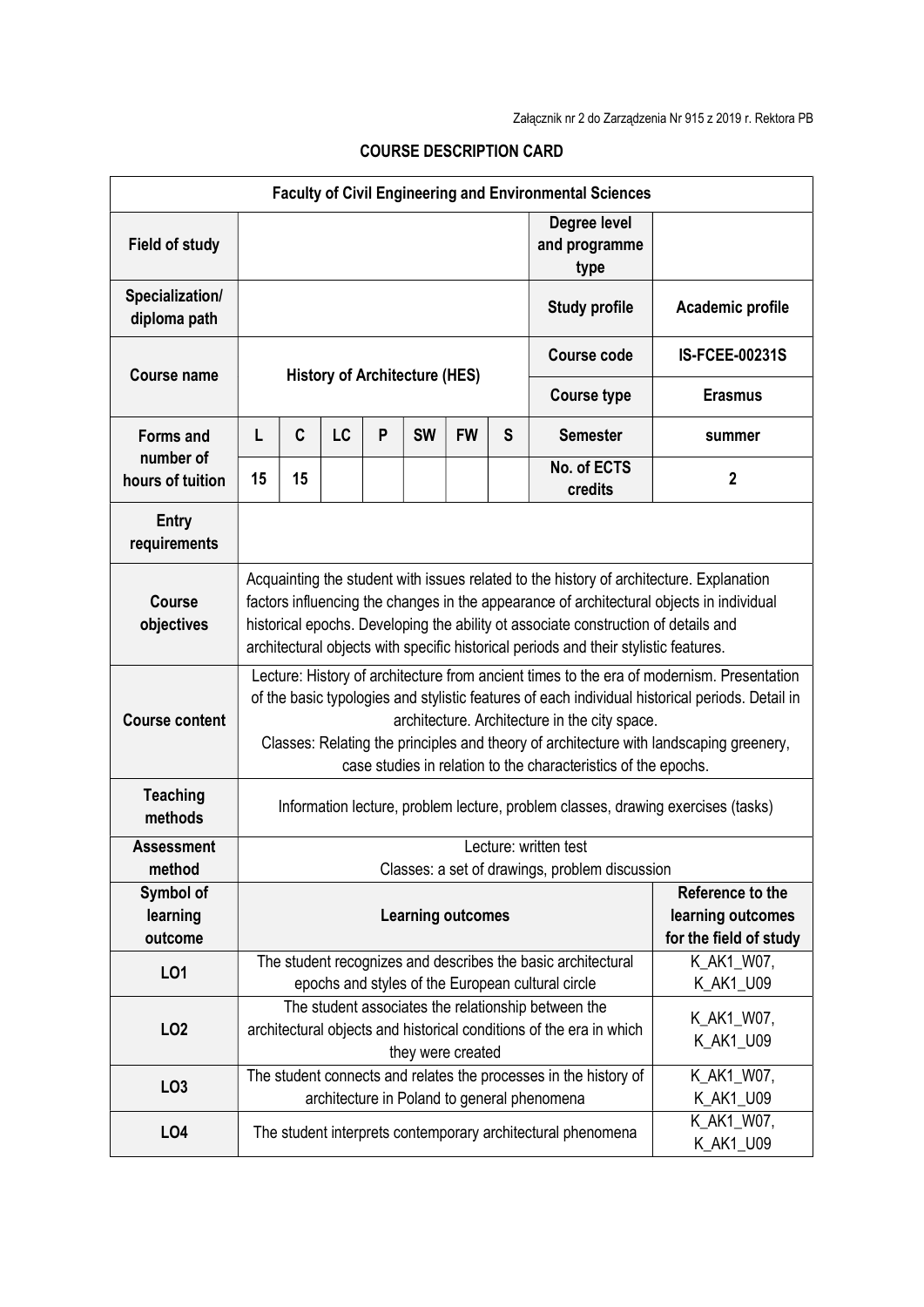| <b>Faculty of Civil Engineering and Environmental Sciences</b> |                                                                                                                                                                                                                                                                                                                                                                                                           |                                                                                                                                                                            |    |   |           |                         |                  |                                       |                       |
|----------------------------------------------------------------|-----------------------------------------------------------------------------------------------------------------------------------------------------------------------------------------------------------------------------------------------------------------------------------------------------------------------------------------------------------------------------------------------------------|----------------------------------------------------------------------------------------------------------------------------------------------------------------------------|----|---|-----------|-------------------------|------------------|---------------------------------------|-----------------------|
| <b>Field of study</b>                                          |                                                                                                                                                                                                                                                                                                                                                                                                           |                                                                                                                                                                            |    |   |           |                         |                  | Degree level<br>and programme<br>type |                       |
| Specialization/<br>diploma path                                |                                                                                                                                                                                                                                                                                                                                                                                                           |                                                                                                                                                                            |    |   |           | <b>Study profile</b>    | Academic profile |                                       |                       |
| <b>Course name</b>                                             | <b>History of Architecture (HES)</b>                                                                                                                                                                                                                                                                                                                                                                      |                                                                                                                                                                            |    |   |           |                         |                  | <b>Course code</b>                    | <b>IS-FCEE-00231S</b> |
|                                                                |                                                                                                                                                                                                                                                                                                                                                                                                           |                                                                                                                                                                            |    |   |           |                         |                  | <b>Course type</b>                    | <b>Erasmus</b>        |
| <b>Forms and</b><br>number of                                  | L                                                                                                                                                                                                                                                                                                                                                                                                         | C                                                                                                                                                                          | LC | P | <b>SW</b> | <b>FW</b>               | S                | <b>Semester</b>                       | summer                |
| hours of tuition                                               | 15                                                                                                                                                                                                                                                                                                                                                                                                        | 15                                                                                                                                                                         |    |   |           |                         |                  | No. of ECTS<br>credits                | $\boldsymbol{2}$      |
| <b>Entry</b><br>requirements                                   |                                                                                                                                                                                                                                                                                                                                                                                                           |                                                                                                                                                                            |    |   |           |                         |                  |                                       |                       |
| <b>Course</b><br>objectives                                    | Acquainting the student with issues related to the history of architecture. Explanation<br>factors influencing the changes in the appearance of architectural objects in individual<br>historical epochs. Developing the ability ot associate construction of details and<br>architectural objects with specific historical periods and their stylistic features.                                         |                                                                                                                                                                            |    |   |           |                         |                  |                                       |                       |
| <b>Course content</b>                                          | Lecture: History of architecture from ancient times to the era of modernism. Presentation<br>of the basic typologies and stylistic features of each individual historical periods. Detail in<br>architecture. Architecture in the city space.<br>Classes: Relating the principles and theory of architecture with landscaping greenery,<br>case studies in relation to the characteristics of the epochs. |                                                                                                                                                                            |    |   |           |                         |                  |                                       |                       |
| <b>Teaching</b><br>methods                                     | Information lecture, problem lecture, problem classes, drawing exercises (tasks)                                                                                                                                                                                                                                                                                                                          |                                                                                                                                                                            |    |   |           |                         |                  |                                       |                       |
| <b>Assessment</b><br>method                                    | Lecture: written test<br>Classes: a set of drawings, problem discussion                                                                                                                                                                                                                                                                                                                                   |                                                                                                                                                                            |    |   |           |                         |                  |                                       |                       |
| Symbol of<br>learning<br>outcome                               | Reference to the<br><b>Learning outcomes</b><br>learning outcomes<br>for the field of study                                                                                                                                                                                                                                                                                                               |                                                                                                                                                                            |    |   |           |                         |                  |                                       |                       |
| LO1                                                            | The student recognizes and describes the basic architectural<br>epochs and styles of the European cultural circle                                                                                                                                                                                                                                                                                         |                                                                                                                                                                            |    |   |           |                         |                  | K_AK1_W07,<br>K_AK1_U09               |                       |
| LO <sub>2</sub>                                                |                                                                                                                                                                                                                                                                                                                                                                                                           | The student associates the relationship between the<br>K_AK1_W07,<br>architectural objects and historical conditions of the era in which<br>K_AK1_U09<br>they were created |    |   |           |                         |                  |                                       |                       |
| LO <sub>3</sub>                                                |                                                                                                                                                                                                                                                                                                                                                                                                           | The student connects and relates the processes in the history of<br>K_AK1_W07,<br>architecture in Poland to general phenomena                                              |    |   |           |                         |                  |                                       | K_AK1_U09             |
| LO <sub>4</sub>                                                | The student interprets contemporary architectural phenomena                                                                                                                                                                                                                                                                                                                                               |                                                                                                                                                                            |    |   |           | K_AK1_W07,<br>K_AK1_U09 |                  |                                       |                       |

## COURSE DESCRIPTION CARD